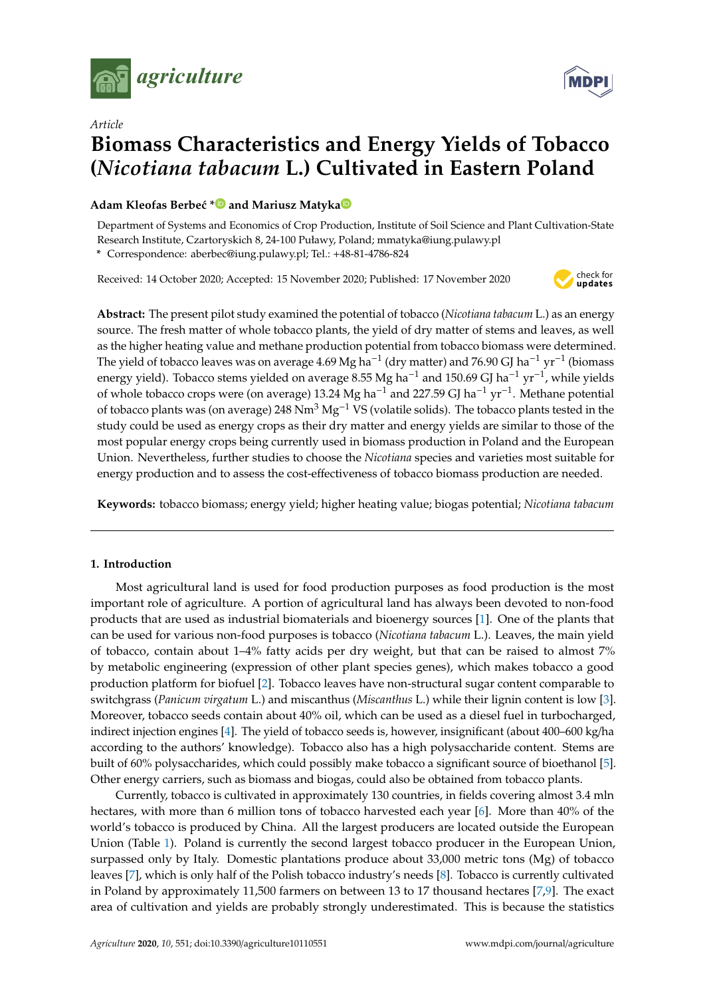



# *Article* **Biomass Characteristics and Energy Yields of Tobacco (***Nicotiana tabacum* **L.) Cultivated in Eastern Poland**

# Ad[a](https://orcid.org/0000-0001-6269-1175)m Kleofas Berbeć  $*$  **D** and Mariusz Matyka<sup><sup>®</sup></sup>

Department of Systems and Economics of Crop Production, Institute of Soil Science and Plant Cultivation-State Research Institute, Czartoryskich 8, 24-100 Puławy, Poland; mmatyka@iung.pulawy.pl

**\*** Correspondence: aberbec@iung.pulawy.pl; Tel.: +48-81-4786-824

Received: 14 October 2020; Accepted: 15 November 2020; Published: 17 November 2020



**Abstract:** The present pilot study examined the potential of tobacco (*Nicotiana tabacum* L.) as an energy source. The fresh matter of whole tobacco plants, the yield of dry matter of stems and leaves, as well as the higher heating value and methane production potential from tobacco biomass were determined. The yield of tobacco leaves was on average 4.69 Mg ha<sup>-1</sup> (dry matter) and 76.90 GJ ha<sup>-1</sup> yr<sup>-1</sup> (biomass energy yield). Tobacco stems yielded on average  $8.55$  Mg ha<sup>-1</sup> and 150.69 GJ ha<sup>-1</sup> yr<sup>-1</sup>, while yields of whole tobacco crops were (on average) 13.24 Mg ha<sup>-1</sup> and 227.59 GJ ha<sup>-1</sup> yr<sup>-1</sup>. Methane potential of tobacco plants was (on average) 248 Nm<sup>3</sup> Mg<sup>-1</sup> VS (volatile solids). The tobacco plants tested in the study could be used as energy crops as their dry matter and energy yields are similar to those of the most popular energy crops being currently used in biomass production in Poland and the European Union. Nevertheless, further studies to choose the *Nicotiana* species and varieties most suitable for energy production and to assess the cost-effectiveness of tobacco biomass production are needed.

**Keywords:** tobacco biomass; energy yield; higher heating value; biogas potential; *Nicotiana tabacum*

# **1. Introduction**

Most agricultural land is used for food production purposes as food production is the most important role of agriculture. A portion of agricultural land has always been devoted to non-food products that are used as industrial biomaterials and bioenergy sources [\[1\]](#page-9-0). One of the plants that can be used for various non-food purposes is tobacco (*Nicotiana tabacum* L.). Leaves, the main yield of tobacco, contain about 1–4% fatty acids per dry weight, but that can be raised to almost 7% by metabolic engineering (expression of other plant species genes), which makes tobacco a good production platform for biofuel [\[2\]](#page-9-1). Tobacco leaves have non-structural sugar content comparable to switchgrass (*Panicum virgatum* L.) and miscanthus (*Miscanthus* L.) while their lignin content is low [\[3\]](#page-9-2). Moreover, tobacco seeds contain about 40% oil, which can be used as a diesel fuel in turbocharged, indirect injection engines [\[4\]](#page-9-3). The yield of tobacco seeds is, however, insignificant (about 400–600 kg/ha according to the authors' knowledge). Tobacco also has a high polysaccharide content. Stems are built of 60% polysaccharides, which could possibly make tobacco a significant source of bioethanol [\[5\]](#page-9-4). Other energy carriers, such as biomass and biogas, could also be obtained from tobacco plants.

Currently, tobacco is cultivated in approximately 130 countries, in fields covering almost 3.4 mln hectares, with more than 6 million tons of tobacco harvested each year [\[6\]](#page-9-5). More than 40% of the world's tobacco is produced by China. All the largest producers are located outside the European Union (Table [1\)](#page-1-0). Poland is currently the second largest tobacco producer in the European Union, surpassed only by Italy. Domestic plantations produce about 33,000 metric tons (Mg) of tobacco leaves [\[7\]](#page-9-6), which is only half of the Polish tobacco industry's needs [\[8\]](#page-9-7). Tobacco is currently cultivated in Poland by approximately 11,500 farmers on between 13 to 17 thousand hectares [\[7](#page-9-6)[,9\]](#page-9-8). The exact area of cultivation and yields are probably strongly underestimated. This is because the statistics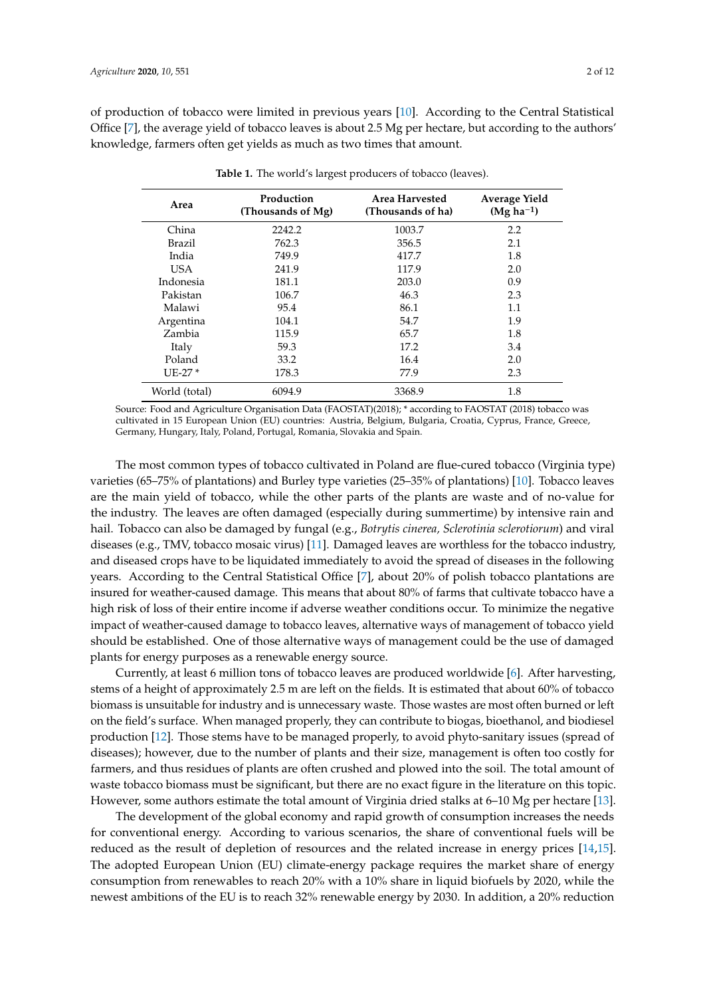<span id="page-1-0"></span>of production of tobacco were limited in previous years [\[10\]](#page-9-9). According to the Central Statistical Office [\[7\]](#page-9-6), the average yield of tobacco leaves is about 2.5 Mg per hectare, but according to the authors' knowledge, farmers often get yields as much as two times that amount.

| Area          | Production<br>(Thousands of Mg) | Area Harvested<br>(Thousands of ha) | <b>Average Yield</b><br>$(Mg ha^{-1})$ |
|---------------|---------------------------------|-------------------------------------|----------------------------------------|
| China         | 2242.2                          | 1003.7                              | 2.2                                    |
| <b>Brazil</b> | 762.3                           | 356.5                               | 2.1                                    |
| India         | 749.9                           | 417.7                               | 1.8                                    |
| USA.          | 241.9                           | 117.9                               | 2.0                                    |
| Indonesia     | 181.1                           | 203.0                               | 0.9                                    |
| Pakistan      | 106.7                           | 46.3                                | 2.3                                    |
| Malawi        | 95.4                            | 86.1                                | 1.1                                    |
| Argentina     | 104.1                           | 54.7                                | 1.9                                    |
| Zambia        | 115.9                           | 65.7                                | 1.8                                    |
| Italy         | 59.3                            | 17.2                                | 3.4                                    |
| Poland        | 33.2                            | 16.4                                | 2.0                                    |
| $UE-27*$      | 178.3                           | 77.9                                | 2.3                                    |
| World (total) | 6094.9                          | 3368.9                              | 1.8                                    |

**Table 1.** The world's largest producers of tobacco (leaves).

Source: Food and Agriculture Organisation Data (FAOSTAT)(2018); \* according to FAOSTAT (2018) tobacco was cultivated in 15 European Union (EU) countries: Austria, Belgium, Bulgaria, Croatia, Cyprus, France, Greece, Germany, Hungary, Italy, Poland, Portugal, Romania, Slovakia and Spain.

The most common types of tobacco cultivated in Poland are flue-cured tobacco (Virginia type) varieties (65–75% of plantations) and Burley type varieties (25–35% of plantations) [\[10\]](#page-9-9). Tobacco leaves are the main yield of tobacco, while the other parts of the plants are waste and of no-value for the industry. The leaves are often damaged (especially during summertime) by intensive rain and hail. Tobacco can also be damaged by fungal (e.g., *Botrytis cinerea, Sclerotinia sclerotiorum*) and viral diseases (e.g., TMV, tobacco mosaic virus) [\[11\]](#page-9-10). Damaged leaves are worthless for the tobacco industry, and diseased crops have to be liquidated immediately to avoid the spread of diseases in the following years. According to the Central Statistical Office [\[7\]](#page-9-6), about 20% of polish tobacco plantations are insured for weather-caused damage. This means that about 80% of farms that cultivate tobacco have a high risk of loss of their entire income if adverse weather conditions occur. To minimize the negative impact of weather-caused damage to tobacco leaves, alternative ways of management of tobacco yield should be established. One of those alternative ways of management could be the use of damaged plants for energy purposes as a renewable energy source.

Currently, at least 6 million tons of tobacco leaves are produced worldwide [\[6\]](#page-9-5). After harvesting, stems of a height of approximately 2.5 m are left on the fields. It is estimated that about 60% of tobacco biomass is unsuitable for industry and is unnecessary waste. Those wastes are most often burned or left on the field's surface. When managed properly, they can contribute to biogas, bioethanol, and biodiesel production [\[12\]](#page-9-11). Those stems have to be managed properly, to avoid phyto-sanitary issues (spread of diseases); however, due to the number of plants and their size, management is often too costly for farmers, and thus residues of plants are often crushed and plowed into the soil. The total amount of waste tobacco biomass must be significant, but there are no exact figure in the literature on this topic. However, some authors estimate the total amount of Virginia dried stalks at 6–10 Mg per hectare [\[13\]](#page-9-12).

The development of the global economy and rapid growth of consumption increases the needs for conventional energy. According to various scenarios, the share of conventional fuels will be reduced as the result of depletion of resources and the related increase in energy prices [\[14,](#page-10-0)[15\]](#page-10-1). The adopted European Union (EU) climate-energy package requires the market share of energy consumption from renewables to reach 20% with a 10% share in liquid biofuels by 2020, while the newest ambitions of the EU is to reach 32% renewable energy by 2030. In addition, a 20% reduction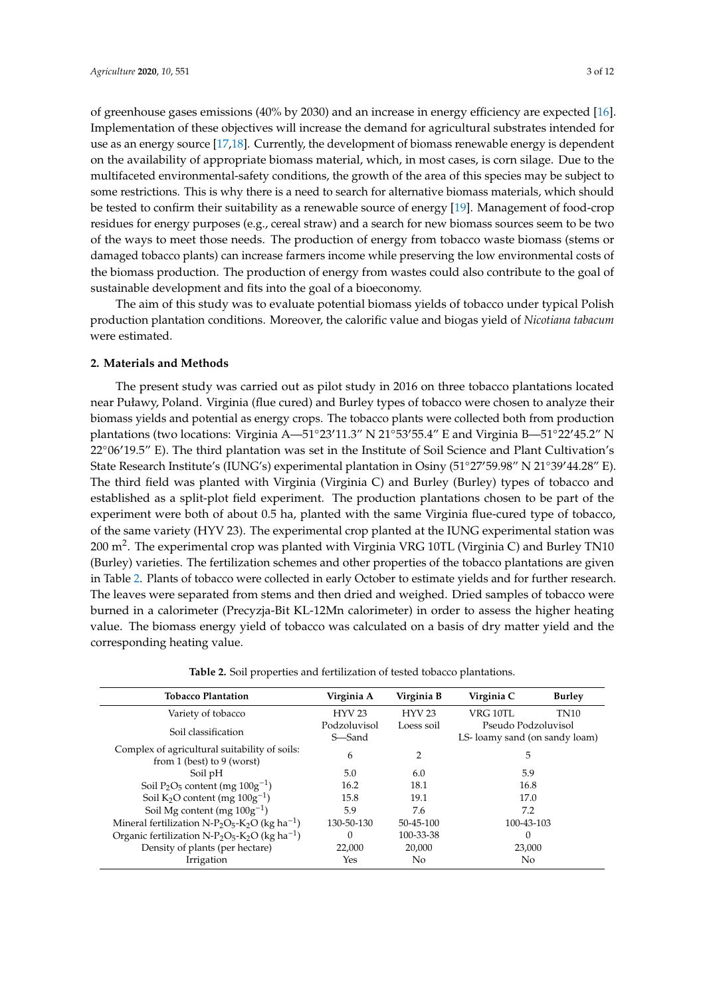of greenhouse gases emissions (40% by 2030) and an increase in energy efficiency are expected [\[16\]](#page-10-2). Implementation of these objectives will increase the demand for agricultural substrates intended for use as an energy source [\[17,](#page-10-3)[18\]](#page-10-4). Currently, the development of biomass renewable energy is dependent on the availability of appropriate biomass material, which, in most cases, is corn silage. Due to the multifaceted environmental-safety conditions, the growth of the area of this species may be subject to some restrictions. This is why there is a need to search for alternative biomass materials, which should be tested to confirm their suitability as a renewable source of energy [\[19\]](#page-10-5). Management of food-crop residues for energy purposes (e.g., cereal straw) and a search for new biomass sources seem to be two of the ways to meet those needs. The production of energy from tobacco waste biomass (stems or damaged tobacco plants) can increase farmers income while preserving the low environmental costs of the biomass production. The production of energy from wastes could also contribute to the goal of sustainable development and fits into the goal of a bioeconomy.

The aim of this study was to evaluate potential biomass yields of tobacco under typical Polish production plantation conditions. Moreover, the calorific value and biogas yield of *Nicotiana tabacum* were estimated.

#### **2. Materials and Methods**

The present study was carried out as pilot study in 2016 on three tobacco plantations located near Puławy, Poland. Virginia (flue cured) and Burley types of tobacco were chosen to analyze their biomass yields and potential as energy crops. The tobacco plants were collected both from production plantations (two locations: Virginia A—51°23'11.3" N 21°53'55.4" E and Virginia B—51°22'45.2" N  $22^{\circ}06'19.5''$  E). The third plantation was set in the Institute of Soil Science and Plant Cultivation's State Research Institute's (IUNG's) experimental plantation in Osiny (51°27'59.98" N 21°39'44.28" E). The third field was planted with Virginia (Virginia C) and Burley (Burley) types of tobacco and established as a split-plot field experiment. The production plantations chosen to be part of the experiment were both of about 0.5 ha, planted with the same Virginia flue-cured type of tobacco, of the same variety (HYV 23). The experimental crop planted at the IUNG experimental station was 200 m<sup>2</sup>. The experimental crop was planted with Virginia VRG 10TL (Virginia C) and Burley TN10 (Burley) varieties. The fertilization schemes and other properties of the tobacco plantations are given in Table [2.](#page-2-0) Plants of tobacco were collected in early October to estimate yields and for further research. The leaves were separated from stems and then dried and weighed. Dried samples of tobacco were burned in a calorimeter (Precyzja-Bit KL-12Mn calorimeter) in order to assess the higher heating value. The biomass energy yield of tobacco was calculated on a basis of dry matter yield and the corresponding heating value.

**Table 2.** Soil properties and fertilization of tested tobacco plantations.

<span id="page-2-0"></span>

| <b>Tobacco Plantation</b>                                                                      | Virginia A             | Virginia B    | Virginia C                                           | <b>Burley</b> |
|------------------------------------------------------------------------------------------------|------------------------|---------------|------------------------------------------------------|---------------|
| Variety of tobacco                                                                             | <b>HYV 23</b>          | <b>HYV 23</b> | <b>VRG 10TL</b>                                      | <b>TN10</b>   |
| Soil classification                                                                            | Podzoluvisol<br>S—Sand | Loess soil    | Pseudo Podzoluvisol<br>LS-loamy sand (on sandy loam) |               |
| Complex of agricultural suitability of soils:                                                  | 6                      | 2             | 5                                                    |               |
| from 1 (best) to 9 (worst)                                                                     |                        |               |                                                      |               |
| Soil pH                                                                                        | 5.0                    | 6.0           | 5.9                                                  |               |
| Soil $P_2O_5$ content (mg $100g^{-1}$ )                                                        | 16.2                   | 18.1          | 16.8                                                 |               |
| Soil $K_2O$ content (mg $100g^{-1}$ )                                                          | 15.8                   | 19.1          | 17.0                                                 |               |
| Soil Mg content (mg $100g^{-1}$ )                                                              | 5.9                    | 7.6           | 7.2                                                  |               |
| Mineral fertilization N-P <sub>2</sub> O <sub>5</sub> -K <sub>2</sub> O (kg ha <sup>-1</sup> ) | 130-50-130             | 50-45-100     | 100-43-103                                           |               |
| Organic fertilization N-P <sub>2</sub> O <sub>5</sub> -K <sub>2</sub> O (kg ha <sup>-1</sup> ) | $\Omega$               | 100-33-38     | 0                                                    |               |
| Density of plants (per hectare)                                                                | 22,000                 | 20,000        | 23,000                                               |               |
| Irrigation                                                                                     | Yes                    | No.           | No                                                   |               |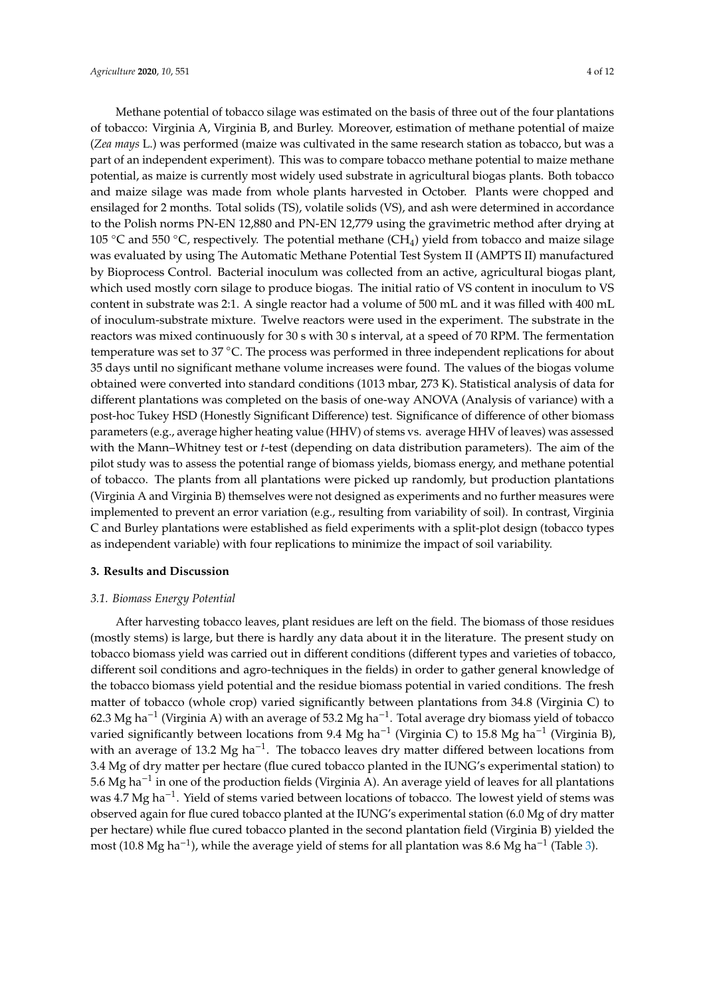Methane potential of tobacco silage was estimated on the basis of three out of the four plantations of tobacco: Virginia A, Virginia B, and Burley. Moreover, estimation of methane potential of maize (*Zea mays* L.) was performed (maize was cultivated in the same research station as tobacco, but was a part of an independent experiment). This was to compare tobacco methane potential to maize methane potential, as maize is currently most widely used substrate in agricultural biogas plants. Both tobacco and maize silage was made from whole plants harvested in October. Plants were chopped and ensilaged for 2 months. Total solids (TS), volatile solids (VS), and ash were determined in accordance to the Polish norms PN-EN 12,880 and PN-EN 12,779 using the gravimetric method after drying at 105  $\degree$ C and 550  $\degree$ C, respectively. The potential methane (CH<sub>4</sub>) yield from tobacco and maize silage was evaluated by using The Automatic Methane Potential Test System II (AMPTS II) manufactured by Bioprocess Control. Bacterial inoculum was collected from an active, agricultural biogas plant, which used mostly corn silage to produce biogas. The initial ratio of VS content in inoculum to VS content in substrate was 2:1. A single reactor had a volume of 500 mL and it was filled with 400 mL of inoculum-substrate mixture. Twelve reactors were used in the experiment. The substrate in the reactors was mixed continuously for 30 s with 30 s interval, at a speed of 70 RPM. The fermentation temperature was set to 37 ℃. The process was performed in three independent replications for about 35 days until no significant methane volume increases were found. The values of the biogas volume obtained were converted into standard conditions (1013 mbar, 273 K). Statistical analysis of data for different plantations was completed on the basis of one-way ANOVA (Analysis of variance) with a post-hoc Tukey HSD (Honestly Significant Difference) test. Significance of difference of other biomass parameters (e.g., average higher heating value (HHV) of stems vs. average HHV of leaves) was assessed with the Mann–Whitney test or *t*-test (depending on data distribution parameters). The aim of the pilot study was to assess the potential range of biomass yields, biomass energy, and methane potential of tobacco. The plants from all plantations were picked up randomly, but production plantations (Virginia A and Virginia B) themselves were not designed as experiments and no further measures were implemented to prevent an error variation (e.g., resulting from variability of soil). In contrast, Virginia C and Burley plantations were established as field experiments with a split-plot design (tobacco types as independent variable) with four replications to minimize the impact of soil variability.

#### **3. Results and Discussion**

## *3.1. Biomass Energy Potential*

After harvesting tobacco leaves, plant residues are left on the field. The biomass of those residues (mostly stems) is large, but there is hardly any data about it in the literature. The present study on tobacco biomass yield was carried out in different conditions (different types and varieties of tobacco, different soil conditions and agro-techniques in the fields) in order to gather general knowledge of the tobacco biomass yield potential and the residue biomass potential in varied conditions. The fresh matter of tobacco (whole crop) varied significantly between plantations from 34.8 (Virginia C) to 62.3 Mg ha−<sup>1</sup> (Virginia A) with an average of 53.2 Mg ha−<sup>1</sup> . Total average dry biomass yield of tobacco varied significantly between locations from 9.4 Mg ha<sup>-1</sup> (Virginia C) to 15.8 Mg ha<sup>-1</sup> (Virginia B), with an average of 13.2 Mg ha<sup>-1</sup>. The tobacco leaves dry matter differed between locations from 3.4 Mg of dry matter per hectare (flue cured tobacco planted in the IUNG's experimental station) to 5.6 Mg ha−<sup>1</sup> in one of the production fields (Virginia A). An average yield of leaves for all plantations was 4.7 Mg ha<sup>-1</sup>. Yield of stems varied between locations of tobacco. The lowest yield of stems was observed again for flue cured tobacco planted at the IUNG's experimental station (6.0 Mg of dry matter per hectare) while flue cured tobacco planted in the second plantation field (Virginia B) yielded the most (10.8 Mg ha−<sup>1</sup> ), while the average yield of stems for all plantation was 8.6 Mg ha−<sup>1</sup> (Table [3\)](#page-4-0).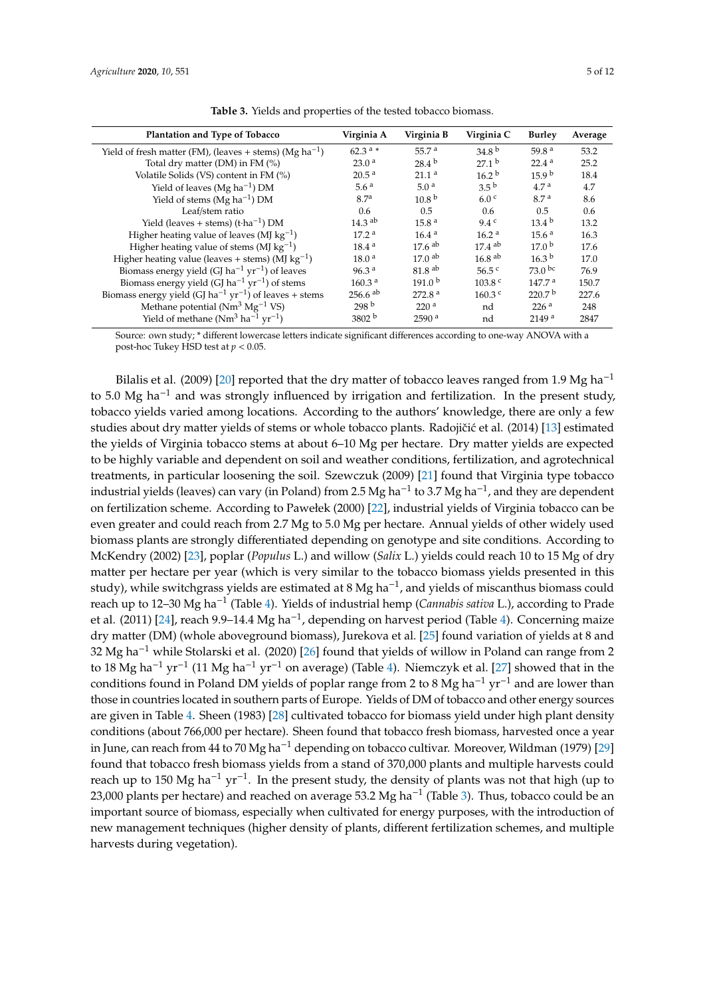<span id="page-4-0"></span>

| Plantation and Type of Tobacco                                                 | Virginia A            | Virginia B           | Virginia C           | <b>Burley</b>      | Average |
|--------------------------------------------------------------------------------|-----------------------|----------------------|----------------------|--------------------|---------|
| Yield of fresh matter (FM), (leaves + stems) (Mg ha <sup>-1</sup> )            | $62.3^{a} *$          | 55.7 <sup>a</sup>    | 34.8 <sup>b</sup>    | 59.8 <sup>a</sup>  | 53.2    |
| Total dry matter (DM) in FM (%)                                                | 23.0 <sup>a</sup>     | $28.4^{b}$           | 27.1 <sup>b</sup>    | 22.4 <sup>a</sup>  | 25.2    |
| Volatile Solids (VS) content in FM (%)                                         | 20.5 <sup>a</sup>     | 21.1 <sup>a</sup>    | 16.2 <sup>b</sup>    | 15.9 <sup>b</sup>  | 18.4    |
| Yield of leaves (Mg ha <sup>-1</sup> ) DM                                      | 5.6 <sup>a</sup>      | 5.0 <sup>a</sup>     | 3.5 <sup>b</sup>     | 4.7 <sup>a</sup>   | 4.7     |
| Yield of stems (Mg $ha^{-1}$ ) DM                                              | 8.7 <sup>a</sup>      | 10.8 <sup>b</sup>    | 6.0 <sup>c</sup>     | 8.7 <sup>a</sup>   | 8.6     |
| Leaf/stem ratio                                                                | 0.6                   | 0.5                  | $0.6^{\circ}$        | 0.5                | 0.6     |
| Yield (leaves + stems) $(t \cdot ha^{-1})$ DM                                  | $14.3$ <sup>ab</sup>  | 15.8 <sup>a</sup>    | 9.4c                 | $13.4^{b}$         | 13.2    |
| Higher heating value of leaves (MJ $kg^{-1}$ )                                 | 17.2 <sup>a</sup>     | 16.4 <sup>a</sup>    | 16.2 <sup>a</sup>    | 15.6 <sup>a</sup>  | 16.3    |
| Higher heating value of stems (MJ $kg^{-1}$ )                                  | 18.4 <sup>a</sup>     | $17.6$ <sup>ab</sup> | $17.4$ <sup>ab</sup> | 17.0 <sup>b</sup>  | 17.6    |
| Higher heating value (leaves + stems) (MJ $\text{kg}^{-1}$ )                   | 18.0 <sup>a</sup>     | $17.0^{ab}$          | $16.8$ <sup>ab</sup> | 16.3 <sup>b</sup>  | 17.0    |
| Biomass energy yield (GJ ha <sup>-1</sup> yr <sup>-1</sup> ) of leaves         | 96.3 <sup>a</sup>     | 81.8 <sup>ab</sup>   | $56.5$ c             | $73.0^{bc}$        | 76.9    |
| Biomass energy yield (GJ ha <sup>-1</sup> yr <sup>-1</sup> ) of stems          | 160.3 <sup>a</sup>    | 191.0 <sup>b</sup>   | 103.8 <sup>c</sup>   | 147.7 <sup>a</sup> | 150.7   |
| Biomass energy yield (GJ ha <sup>-1</sup> yr <sup>-1</sup> ) of leaves + stems | $256.6$ <sup>ab</sup> | 272.8 <sup>a</sup>   | $160.3$ c            | 220.7 <sup>b</sup> | 227.6   |
| Methane potential ( $Nm^3 Mg^{-1} VS$ )                                        | 298 <sup>b</sup>      | 220 <sup>a</sup>     | nd                   | 226 <sup>a</sup>   | 248     |
| Yield of methane $(Nm^3$ ha <sup>-1</sup> yr <sup>-1</sup> )                   | 3802 <sup>b</sup>     | 2590 <sup>a</sup>    | nd                   | 2149a              | 2847    |

**Table 3.** Yields and properties of the tested tobacco biomass.

Source: own study; \* different lowercase letters indicate significant differences according to one-way ANOVA with a post-hoc Tukey HSD test at *p* < 0.05.

Bilalis et al. (2009) [\[20\]](#page-10-6) reported that the dry matter of tobacco leaves ranged from 1.9 Mg ha<sup>-1</sup> to 5.0 Mg ha<sup>-1</sup> and was strongly influenced by irrigation and fertilization. In the present study, tobacco yields varied among locations. According to the authors' knowledge, there are only a few studies about dry matter yields of stems or whole tobacco plants. Radojičić et al. (2014) [\[13\]](#page-9-12) estimated the yields of Virginia tobacco stems at about 6–10 Mg per hectare. Dry matter yields are expected to be highly variable and dependent on soil and weather conditions, fertilization, and agrotechnical treatments, in particular loosening the soil. Szewczuk (2009) [\[21\]](#page-10-7) found that Virginia type tobacco industrial yields (leaves) can vary (in Poland) from 2.5 Mg ha−<sup>1</sup> to 3.7 Mg ha−<sup>1</sup> , and they are dependent on fertilization scheme. According to Pawełek (2000) [\[22\]](#page-10-8), industrial yields of Virginia tobacco can be even greater and could reach from 2.7 Mg to 5.0 Mg per hectare. Annual yields of other widely used biomass plants are strongly differentiated depending on genotype and site conditions. According to McKendry (2002) [\[23\]](#page-10-9), poplar (*Populus* L.) and willow (*Salix* L.) yields could reach 10 to 15 Mg of dry matter per hectare per year (which is very similar to the tobacco biomass yields presented in this study), while switchgrass yields are estimated at 8 Mg ha−<sup>1</sup> , and yields of miscanthus biomass could reach up to 12–30 Mg ha−<sup>1</sup> (Table [4\)](#page-5-0). Yields of industrial hemp (*Cannabis sativa* L.), according to Prade et al. (2011) [\[24\]](#page-10-10), reach 9.9–14.4 Mg ha<sup>-1</sup>, depending on harvest period (Table [4\)](#page-5-0). Concerning maize dry matter (DM) (whole aboveground biomass), Jurekova et al. [\[25\]](#page-10-11) found variation of yields at 8 and 32 Mg ha−<sup>1</sup> while Stolarski et al. (2020) [\[26\]](#page-10-12) found that yields of willow in Poland can range from 2 to 18 Mg ha−<sup>1</sup> yr−<sup>1</sup> (11 Mg ha−<sup>1</sup> yr−<sup>1</sup> on average) (Table [4\)](#page-5-0). Niemczyk et al. [\[27\]](#page-10-13) showed that in the conditions found in Poland DM yields of poplar range from 2 to 8 Mg ha<sup>-1</sup> yr<sup>-1</sup> and are lower than those in countries located in southern parts of Europe. Yields of DM of tobacco and other energy sources are given in Table [4.](#page-5-0) Sheen (1983) [\[28\]](#page-10-14) cultivated tobacco for biomass yield under high plant density conditions (about 766,000 per hectare). Sheen found that tobacco fresh biomass, harvested once a year in June, can reach from 44 to 70 Mg ha−<sup>1</sup> depending on tobacco cultivar. Moreover, Wildman (1979) [\[29\]](#page-10-15) found that tobacco fresh biomass yields from a stand of 370,000 plants and multiple harvests could reach up to 150 Mg ha−<sup>1</sup> yr−<sup>1</sup> . In the present study, the density of plants was not that high (up to 23,000 plants per hectare) and reached on average 53.2 Mg ha−<sup>1</sup> (Table [3\)](#page-4-0). Thus, tobacco could be an important source of biomass, especially when cultivated for energy purposes, with the introduction of new management techniques (higher density of plants, different fertilization schemes, and multiple harvests during vegetation).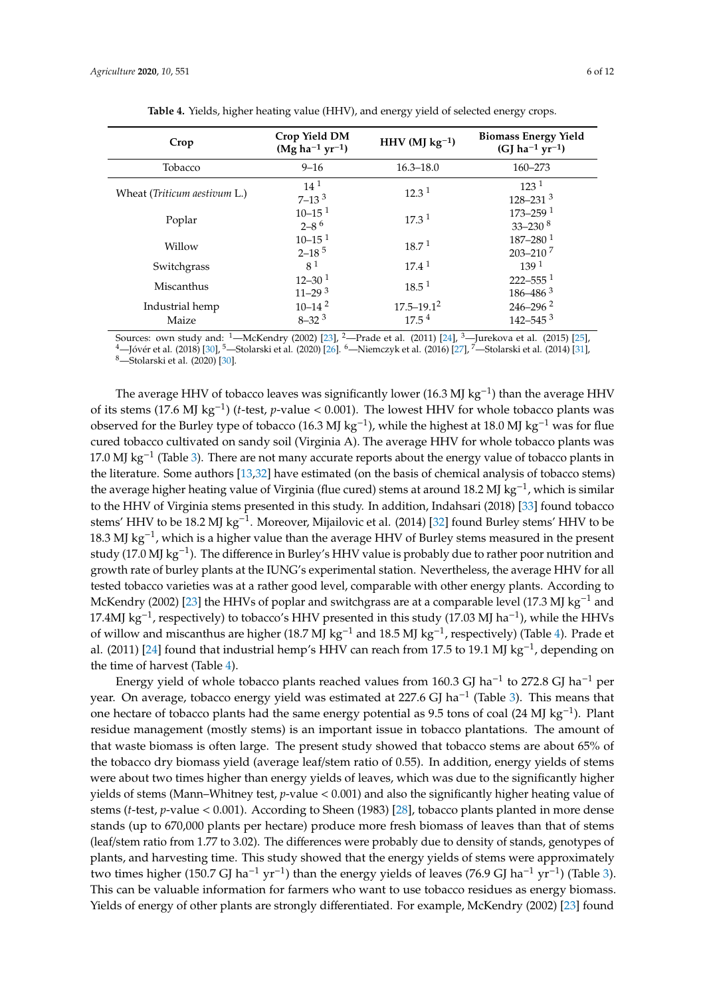<span id="page-5-0"></span>

| Crop Yield DM<br>$(Mg ha^{-1} yr^{-1})$         | HHV (MJ $kg^{-1}$ )             | <b>Biomass Energy Yield</b><br>$(GJ ha^{-1} yr^{-1})$ |
|-------------------------------------------------|---------------------------------|-------------------------------------------------------|
| $9 - 16$                                        | $16.3 - 18.0$                   | 160-273                                               |
| $14^{1}$<br>$7 - 133$                           | $12.3^{\text{1}}$               | 123 <sup>1</sup><br>$128 - 231$ <sup>3</sup>          |
| $10 - 15$ <sup>1</sup><br>$2 - 8^{6}$           | $17.3^{\text{1}}$               | $173 - 259$ <sup>1</sup><br>$33 - 230$ <sup>8</sup>   |
| $10 - 15$ <sup>1</sup><br>$2 - 18^{5}$          | $18.7^{\,1}$                    | $187 - 280$ <sup>1</sup><br>$203 - 210$ 7             |
|                                                 | $17.4^{\text{1}}$               | 139 <sup>1</sup>                                      |
| $12 - 30^{1}$<br>$11 - 29$ <sup>3</sup>         | $18.5^{\text{1}}$               | $222 - 555$ <sup>1</sup><br>$186 - 486$ <sup>3</sup>  |
| $10 - 14$ <sup>2</sup><br>$8 - 32$ <sup>3</sup> | $17.5 - 19.1^2$<br>$17.5^{\,4}$ | $246 - 296$ <sup>2</sup><br>$142 - 545$ <sup>3</sup>  |
|                                                 | 8 <sup>1</sup>                  |                                                       |

|  |  |  |  |  | Table 4. Yields, higher heating value (HHV), and energy yield of selected energy crops. |
|--|--|--|--|--|-----------------------------------------------------------------------------------------|
|--|--|--|--|--|-----------------------------------------------------------------------------------------|

Sources: own study and: <sup>1</sup>—McKendry (2002) [\[23\]](#page-10-9), <sup>2</sup>—Prade et al. (2011) [\[24\]](#page-10-10), <sup>3</sup>—Jurekova et al. (2015) [\[25\]](#page-10-11), -Jóvér et al. (2018) [\[30\]](#page-10-16), <sup>5</sup>-Stolarski et al. (2020) [\[26\]](#page-10-12). <sup>6</sup>-Niemczyk et al. (2016) [\[27\]](#page-10-13), <sup>7</sup>-Stolarski et al. (2014) [\[31\]](#page-10-17), <sup>8</sup>—Stolarski et al. (2020) [\[30\]](#page-10-16).

The average HHV of tobacco leaves was significantly lower (16.3 MJ kg<sup>-1</sup>) than the average HHV of its stems (17.6 MJ kg−<sup>1</sup> ) (*t*-test, *p*-value < 0.001). The lowest HHV for whole tobacco plants was observed for the Burley type of tobacco (16.3 MJ kg<sup>-1</sup>), while the highest at 18.0 MJ kg<sup>-1</sup> was for flue cured tobacco cultivated on sandy soil (Virginia A). The average HHV for whole tobacco plants was 17.0 MJ kg−<sup>1</sup> (Table [3\)](#page-4-0). There are not many accurate reports about the energy value of tobacco plants in the literature. Some authors [\[13,](#page-9-12)[32\]](#page-10-18) have estimated (on the basis of chemical analysis of tobacco stems) the average higher heating value of Virginia (flue cured) stems at around 18.2 MJ kg<sup>-1</sup>, which is similar to the HHV of Virginia stems presented in this study. In addition, Indahsari (2018) [\[33\]](#page-10-19) found tobacco stems' HHV to be 18.2 MJ kg<sup>-1</sup>. Moreover, Mijailovic et al. (2014) [\[32\]](#page-10-18) found Burley stems' HHV to be 18.3 MJ kg−<sup>1</sup> , which is a higher value than the average HHV of Burley stems measured in the present study (17.0 MJ kg−<sup>1</sup> ). The difference in Burley's HHV value is probably due to rather poor nutrition and growth rate of burley plants at the IUNG's experimental station. Nevertheless, the average HHV for all tested tobacco varieties was at a rather good level, comparable with other energy plants. According to McKendry (2002) [\[23\]](#page-10-9) the HHVs of poplar and switchgrass are at a comparable level (17.3 MJ kg<sup>-1</sup> and 17.4MJ kg<sup>-1</sup>, respectively) to tobacco's HHV presented in this study (17.03 MJ ha<sup>-1</sup>), while the HHVs of willow and miscanthus are higher (18.7 MJ kg<sup>-1</sup> and 18.5 MJ kg<sup>-1</sup>, respectively) (Table [4\)](#page-5-0). Prade et al. (2011) [\[24\]](#page-10-10) found that industrial hemp's HHV can reach from 17.5 to 19.1 MJ kg<sup>-1</sup>, depending on the time of harvest (Table [4\)](#page-5-0).

Energy yield of whole tobacco plants reached values from 160.3 GJ ha<sup>-1</sup> to 272.8 GJ ha<sup>-1</sup> per year. On average, tobacco energy yield was estimated at 227.6 GJ ha<sup>-1</sup> (Table [3\)](#page-4-0). This means that one hectare of tobacco plants had the same energy potential as 9.5 tons of coal (24 MJ kg−<sup>1</sup> ). Plant residue management (mostly stems) is an important issue in tobacco plantations. The amount of that waste biomass is often large. The present study showed that tobacco stems are about 65% of the tobacco dry biomass yield (average leaf/stem ratio of 0.55). In addition, energy yields of stems were about two times higher than energy yields of leaves, which was due to the significantly higher yields of stems (Mann–Whitney test, *p*-value < 0.001) and also the significantly higher heating value of stems (*t*-test, *p*-value < 0.001). According to Sheen (1983) [\[28\]](#page-10-14), tobacco plants planted in more dense stands (up to 670,000 plants per hectare) produce more fresh biomass of leaves than that of stems (leaf/stem ratio from 1.77 to 3.02). The differences were probably due to density of stands, genotypes of plants, and harvesting time. This study showed that the energy yields of stems were approximately two times higher (150.7 GJ ha<sup>-1</sup> yr<sup>-1</sup>) than the energy yields of leaves (76.9 GJ ha<sup>-1</sup> yr<sup>-1</sup>) (Table [3\)](#page-4-0). This can be valuable information for farmers who want to use tobacco residues as energy biomass. Yields of energy of other plants are strongly differentiated. For example, McKendry (2002) [\[23\]](#page-10-9) found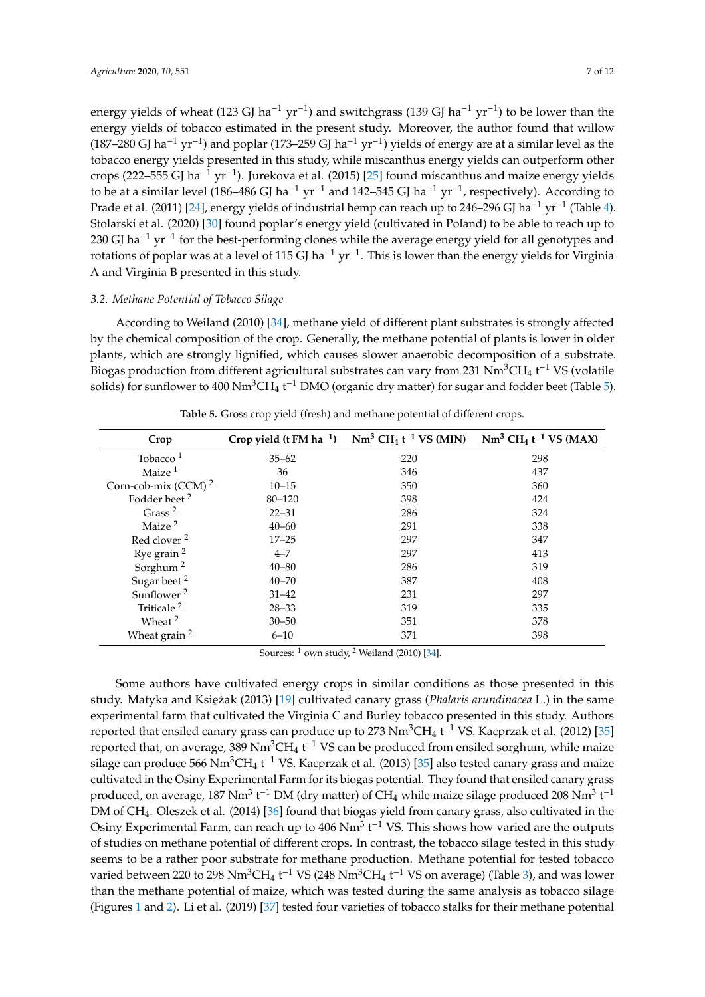energy yields of wheat (123 GJ ha<sup>-1</sup> yr<sup>-1</sup>) and switchgrass (139 GJ ha<sup>-1</sup> yr<sup>-1</sup>) to be lower than the energy yields of tobacco estimated in the present study. Moreover, the author found that willow (187–280 GJ ha<sup>-1</sup> yr<sup>-1</sup>) and poplar (173–259 GJ ha<sup>-1</sup> yr<sup>-1</sup>) yields of energy are at a similar level as the tobacco energy yields presented in this study, while miscanthus energy yields can outperform other crops (222–555 GJ ha−<sup>1</sup> yr−<sup>1</sup> ). Jurekova et al. (2015) [\[25\]](#page-10-11) found miscanthus and maize energy yields to be at a similar level (186–486 GJ ha<sup>-1</sup> yr<sup>-1</sup> and 142–545 GJ ha<sup>-1</sup> yr<sup>-1</sup>, respectively). According to Prade et al. (2011) [\[24\]](#page-10-10), energy yields of industrial hemp can reach up to 246–296 GJ ha<sup>-1</sup> yr<sup>-1</sup> (Table [4\)](#page-5-0). Stolarski et al. (2020) [\[30\]](#page-10-16) found poplar's energy yield (cultivated in Poland) to be able to reach up to 230 GJ ha<sup>-1</sup> yr<sup>-1</sup> for the best-performing clones while the average energy yield for all genotypes and rotations of poplar was at a level of 115 GJ ha<sup>-1</sup> yr<sup>-1</sup>. This is lower than the energy yields for Virginia A and Virginia B presented in this study.

# *3.2. Methane Potential of Tobacco Silage*

According to Weiland (2010) [\[34\]](#page-10-20), methane yield of different plant substrates is strongly affected by the chemical composition of the crop. Generally, the methane potential of plants is lower in older plants, which are strongly lignified, which causes slower anaerobic decomposition of a substrate. Biogas production from different agricultural substrates can vary from 231  $\mathrm{Nm^3CH_4}$  t<sup>-1</sup> VS (volatile solids) for sunflower to 400 Nm<sup>3</sup>CH<sub>4</sub> t<sup>-1</sup> DMO (organic dry matter) for sugar and fodder beet (Table [5\)](#page-6-0).

<span id="page-6-0"></span>

| Crop                     | Crop yield (t FM $ha^{-1}$ ) | $Nm^3 CH_4 t^{-1} VS (MIN)$ | $Nm^3 CH_4 t^{-1} VS (MAX)$ |
|--------------------------|------------------------------|-----------------------------|-----------------------------|
| Tobacco $1$              | $35 - 62$                    | 220                         | 298                         |
| Maize <sup>1</sup>       | 36                           | 346                         | 437                         |
| Corn-cob-mix (CCM) $^2$  | $10 - 15$                    | 350                         | 360                         |
| Fodder beet <sup>2</sup> | $80 - 120$                   | 398                         | 424                         |
| Grass <sup>2</sup>       | $22 - 31$                    | 286                         | 324                         |
| Maize <sup>2</sup>       | $40 - 60$                    | 291                         | 338                         |
| Red clover <sup>2</sup>  | $17 - 25$                    | 297                         | 347                         |
| Rye grain $2$            | $4 - 7$                      | 297                         | 413                         |
| Sorghum <sup>2</sup>     | $40 - 80$                    | 286                         | 319                         |
| Sugar beet <sup>2</sup>  | $40 - 70$                    | 387                         | 408                         |
| Sunflower <sup>2</sup>   | $31 - 42$                    | 231                         | 297                         |
| Triticale <sup>2</sup>   | $28 - 33$                    | 319                         | 335                         |
| Wheat <sup>2</sup>       | $30 - 50$                    | 351                         | 378                         |
| Wheat grain <sup>2</sup> | $6 - 10$                     | 371                         | 398                         |

**Table 5.** Gross crop yield (fresh) and methane potential of different crops.

Sources: <sup>1</sup> own study, <sup>2</sup> Weiland (2010) [\[34\]](#page-10-20).

Some authors have cultivated energy crops in similar conditions as those presented in this study. Matyka and Księżak (2013) [\[19\]](#page-10-5) cultivated canary grass (*Phalaris arundinacea* L.) in the same experimental farm that cultivated the Virginia C and Burley tobacco presented in this study. Authors reported that ensiled canary grass can produce up to 273  $Nm^3CH_4$  t<sup>-1</sup> VS. Kacprzak et al. (2012) [\[35\]](#page-10-21) reported that, on average,  $389 \text{ Nm}^3 \text{CH}_4$  t<sup>-1</sup> VS can be produced from ensiled sorghum, while maize silage can produce 566  $\text{Nm}^3\text{CH}_4$  t<sup>-1</sup> VS. Kacprzak et al. (2013) [\[35\]](#page-10-21) also tested canary grass and maize cultivated in the Osiny Experimental Farm for its biogas potential. They found that ensiled canary grass produced, on average, 187 Nm<sup>3</sup> t<sup>-1</sup> DM (dry matter) of CH<sub>4</sub> while maize silage produced 208 Nm<sup>3</sup> t<sup>-1</sup> DM of CH4. Oleszek et al. (2014) [\[36\]](#page-10-22) found that biogas yield from canary grass, also cultivated in the Osiny Experimental Farm, can reach up to 406 Nm<sup>3</sup> t<sup>-1</sup> VS. This shows how varied are the outputs of studies on methane potential of different crops. In contrast, the tobacco silage tested in this study seems to be a rather poor substrate for methane production. Methane potential for tested tobacco varied between 220 to 298 Nm<sup>3</sup>CH<sub>4</sub> t<sup>-1</sup> VS (248 Nm<sup>3</sup>CH<sub>4</sub> t<sup>-1</sup> VS on average) (Table [3\)](#page-4-0), and was lower than the methane potential of maize, which was tested during the same analysis as tobacco silage (Figures [1](#page-8-0) and [2\)](#page-8-1). Li et al. (2019) [\[37\]](#page-10-23) tested four varieties of tobacco stalks for their methane potential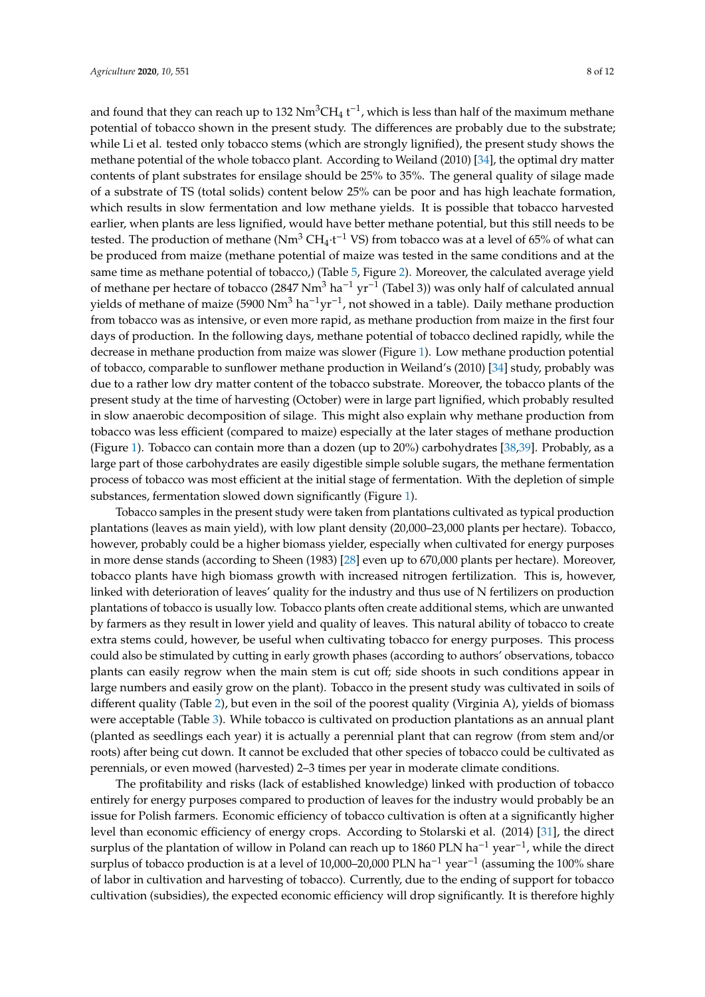and found that they can reach up to 132  $\mathrm{Nm^3CH_4}$  t<sup>-1</sup>, which is less than half of the maximum methane potential of tobacco shown in the present study. The differences are probably due to the substrate; while Li et al. tested only tobacco stems (which are strongly lignified), the present study shows the methane potential of the whole tobacco plant. According to Weiland (2010) [\[34\]](#page-10-20), the optimal dry matter contents of plant substrates for ensilage should be 25% to 35%. The general quality of silage made of a substrate of TS (total solids) content below 25% can be poor and has high leachate formation, which results in slow fermentation and low methane yields. It is possible that tobacco harvested earlier, when plants are less lignified, would have better methane potential, but this still needs to be tested. The production of methane ( $Nm^3 CH_4 \cdot t^{-1}$  VS) from tobacco was at a level of 65% of what can be produced from maize (methane potential of maize was tested in the same conditions and at the same time as methane potential of tobacco,) (Table [5,](#page-6-0) Figure [2\)](#page-8-1). Moreover, the calculated average yield of methane per hectare of tobacco (2847 Nm<sup>3</sup> ha<sup>-1</sup> yr<sup>-1</sup> (Tabel 3)) was only half of calculated annual yields of methane of maize (5900 Nm<sup>3</sup> ha<sup>-1</sup>yr<sup>-1</sup>, not showed in a table). Daily methane production from tobacco was as intensive, or even more rapid, as methane production from maize in the first four days of production. In the following days, methane potential of tobacco declined rapidly, while the decrease in methane production from maize was slower (Figure [1\)](#page-8-0). Low methane production potential of tobacco, comparable to sunflower methane production in Weiland's (2010) [\[34\]](#page-10-20) study, probably was due to a rather low dry matter content of the tobacco substrate. Moreover, the tobacco plants of the present study at the time of harvesting (October) were in large part lignified, which probably resulted in slow anaerobic decomposition of silage. This might also explain why methane production from tobacco was less efficient (compared to maize) especially at the later stages of methane production (Figure [1\)](#page-8-0). Tobacco can contain more than a dozen (up to 20%) carbohydrates [\[38](#page-11-0)[,39\]](#page-11-1). Probably, as a large part of those carbohydrates are easily digestible simple soluble sugars, the methane fermentation process of tobacco was most efficient at the initial stage of fermentation. With the depletion of simple substances, fermentation slowed down significantly (Figure [1\)](#page-8-0).

Tobacco samples in the present study were taken from plantations cultivated as typical production plantations (leaves as main yield), with low plant density (20,000–23,000 plants per hectare). Tobacco, however, probably could be a higher biomass yielder, especially when cultivated for energy purposes in more dense stands (according to Sheen (1983) [\[28\]](#page-10-14) even up to 670,000 plants per hectare). Moreover, tobacco plants have high biomass growth with increased nitrogen fertilization. This is, however, linked with deterioration of leaves' quality for the industry and thus use of N fertilizers on production plantations of tobacco is usually low. Tobacco plants often create additional stems, which are unwanted by farmers as they result in lower yield and quality of leaves. This natural ability of tobacco to create extra stems could, however, be useful when cultivating tobacco for energy purposes. This process could also be stimulated by cutting in early growth phases (according to authors' observations, tobacco plants can easily regrow when the main stem is cut off; side shoots in such conditions appear in large numbers and easily grow on the plant). Tobacco in the present study was cultivated in soils of different quality (Table [2\)](#page-2-0), but even in the soil of the poorest quality (Virginia A), yields of biomass were acceptable (Table [3\)](#page-4-0). While tobacco is cultivated on production plantations as an annual plant (planted as seedlings each year) it is actually a perennial plant that can regrow (from stem and/or roots) after being cut down. It cannot be excluded that other species of tobacco could be cultivated as perennials, or even mowed (harvested) 2–3 times per year in moderate climate conditions.

The profitability and risks (lack of established knowledge) linked with production of tobacco entirely for energy purposes compared to production of leaves for the industry would probably be an issue for Polish farmers. Economic efficiency of tobacco cultivation is often at a significantly higher level than economic efficiency of energy crops. According to Stolarski et al. (2014) [\[31\]](#page-10-17), the direct surplus of the plantation of willow in Poland can reach up to 1860 PLN ha<sup>-1</sup> year<sup>-1</sup>, while the direct surplus of tobacco production is at a level of 10,000–20,000 PLN ha<sup>-1</sup> year<sup>-1</sup> (assuming the 100% share of labor in cultivation and harvesting of tobacco). Currently, due to the ending of support for tobacco cultivation (subsidies), the expected economic efficiency will drop significantly. It is therefore highly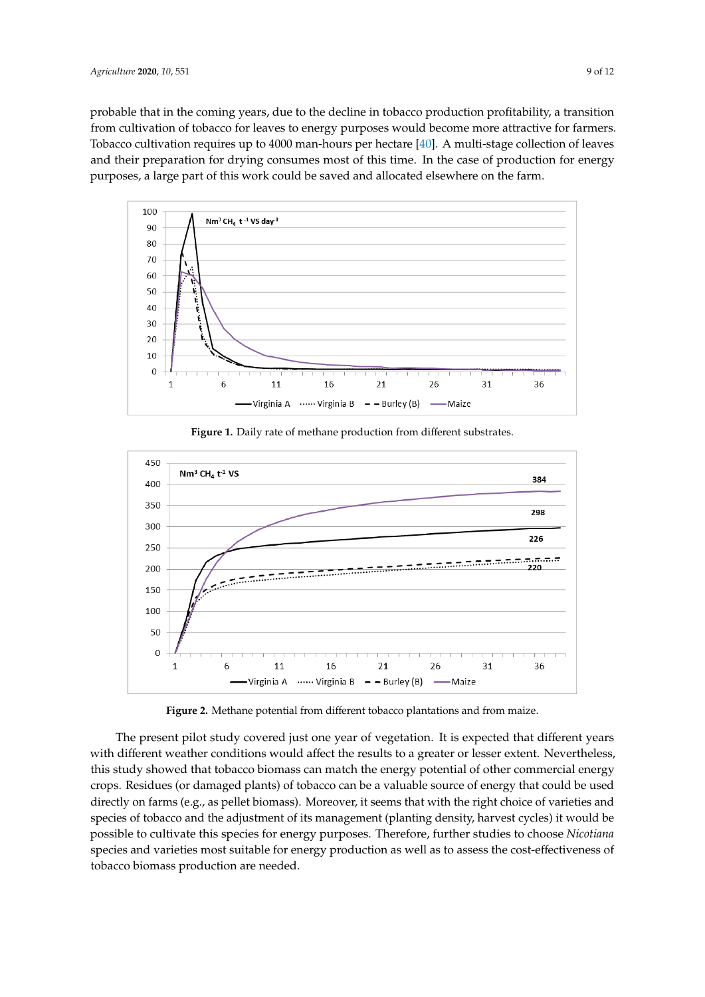probable that in the coming years, due to the decline in tobacco production profitability, a transition from cultivation of tobacco for leaves to energy purposes would become more attractive for farmers. Tobacco cultivation requires up to  $4000$  man-hours per hectare [ $40$ ]. A multi-stage collection of leaves and their preparation for drying consumes most of this time. In the case of production for energy purposes, a large part of this work could be saved and allocated elsewhere on the farm.

<span id="page-8-0"></span>

**Figure 1.** Daily rate of methane production from different substrates.

<span id="page-8-1"></span>

**Figure 2.** Methane potential from different tobacco plantations and from maize. **Figure 2.** Methane potential from different tobacco plantations and from maize.

The present pilot study covered just one year of vegetation. It is expected that different years that  $\frac{1}{2}$ with different weather conditions would affect the results to a greater or lesser extent. Nevertheless, this study showed that tobacco biomass can match the energy potential of other commercial energy crops. Residues (or damaged plants) of tobacco can be a valuable source of energy that could be used directly on farms (e.g., as pellet biomass). Moreover, it seems that with the right choice of varieties and species of tobacco and the adjustment of its management (planting density, harvest cycles) it would be possible to cultivate this species for energy purposes. Therefore, further studies to choose *Nicotiana* species and varieties most suitable for energy production as well as to assess the cost-effectiveness of tobacco biomass production are needed.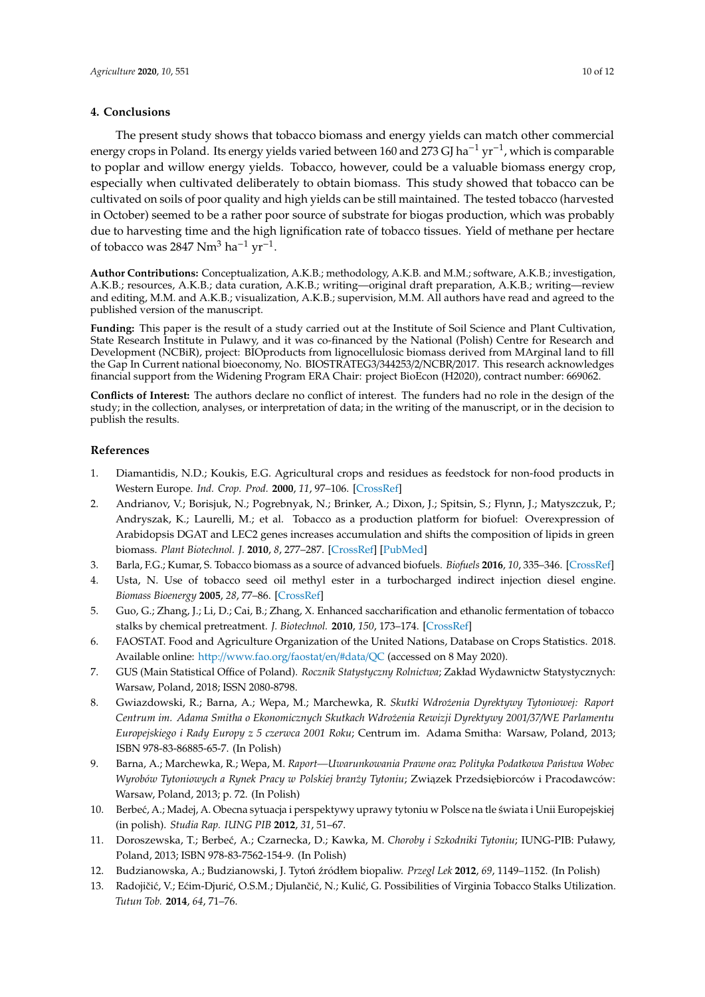## **4. Conclusions**

The present study shows that tobacco biomass and energy yields can match other commercial energy crops in Poland. Its energy yields varied between 160 and 273 GJ ha<sup>-1</sup> yr<sup>-1</sup>, which is comparable to poplar and willow energy yields. Tobacco, however, could be a valuable biomass energy crop, especially when cultivated deliberately to obtain biomass. This study showed that tobacco can be cultivated on soils of poor quality and high yields can be still maintained. The tested tobacco (harvested in October) seemed to be a rather poor source of substrate for biogas production, which was probably due to harvesting time and the high lignification rate of tobacco tissues. Yield of methane per hectare of tobacco was 2847 Nm<sup>3</sup> ha<sup>-1</sup> yr<sup>-1</sup>.

**Author Contributions:** Conceptualization, A.K.B.; methodology, A.K.B. and M.M.; software, A.K.B.; investigation, A.K.B.; resources, A.K.B.; data curation, A.K.B.; writing—original draft preparation, A.K.B.; writing—review and editing, M.M. and A.K.B.; visualization, A.K.B.; supervision, M.M. All authors have read and agreed to the published version of the manuscript.

**Funding:** This paper is the result of a study carried out at the Institute of Soil Science and Plant Cultivation, State Research Institute in Pulawy, and it was co-financed by the National (Polish) Centre for Research and Development (NCBiR), project: BIOproducts from lignocellulosic biomass derived from MArginal land to fill the Gap In Current national bioeconomy, No. BIOSTRATEG3/344253/2/NCBR/2017. This research acknowledges financial support from the Widening Program ERA Chair: project BioEcon (H2020), contract number: 669062.

**Conflicts of Interest:** The authors declare no conflict of interest. The funders had no role in the design of the study; in the collection, analyses, or interpretation of data; in the writing of the manuscript, or in the decision to publish the results.

## **References**

- <span id="page-9-0"></span>1. Diamantidis, N.D.; Koukis, E.G. Agricultural crops and residues as feedstock for non-food products in Western Europe. *Ind. Crop. Prod.* **2000**, *11*, 97–106. [\[CrossRef\]](http://dx.doi.org/10.1016/S0926-6690(99)00045-X)
- <span id="page-9-1"></span>2. Andrianov, V.; Borisjuk, N.; Pogrebnyak, N.; Brinker, A.; Dixon, J.; Spitsin, S.; Flynn, J.; Matyszczuk, P.; Andryszak, K.; Laurelli, M.; et al. Tobacco as a production platform for biofuel: Overexpression of Arabidopsis DGAT and LEC2 genes increases accumulation and shifts the composition of lipids in green biomass. *Plant Biotechnol. J.* **2010**, *8*, 277–287. [\[CrossRef\]](http://dx.doi.org/10.1111/j.1467-7652.2009.00458.x) [\[PubMed\]](http://www.ncbi.nlm.nih.gov/pubmed/20051035)
- <span id="page-9-2"></span>3. Barla, F.G.; Kumar, S. Tobacco biomass as a source of advanced biofuels. *Biofuels* **2016**, *10*, 335–346. [\[CrossRef\]](http://dx.doi.org/10.1080/17597269.2016.1242684)
- <span id="page-9-3"></span>4. Usta, N. Use of tobacco seed oil methyl ester in a turbocharged indirect injection diesel engine. *Biomass Bioenergy* **2005**, *28*, 77–86. [\[CrossRef\]](http://dx.doi.org/10.1016/j.biombioe.2004.06.004)
- <span id="page-9-4"></span>5. Guo, G.; Zhang, J.; Li, D.; Cai, B.; Zhang, X. Enhanced saccharification and ethanolic fermentation of tobacco stalks by chemical pretreatment. *J. Biotechnol.* **2010**, *150*, 173–174. [\[CrossRef\]](http://dx.doi.org/10.1016/j.jbiotec.2010.08.452)
- <span id="page-9-5"></span>6. FAOSTAT. Food and Agriculture Organization of the United Nations, Database on Crops Statistics. 2018. Available online: http://[www.fao.org](http://www.fao.org/faostat/en/#data/QC)/faostat/en/#data/QC (accessed on 8 May 2020).
- <span id="page-9-6"></span>7. GUS (Main Statistical Office of Poland). *Rocznik Statystyczny Rolnictwa*; Zakład Wydawnictw Statystycznych: Warsaw, Poland, 2018; ISSN 2080-8798.
- <span id="page-9-7"></span>8. Gwiazdowski, R.; Barna, A.; Wepa, M.; Marchewka, R. *Skutki Wdro˙zenia Dyrektywy Tytoniowej: Raport Centrum im. Adama Smitha o Ekonomicznych Skutkach Wdro˙zenia Rewizji Dyrektywy 2001*/*37*/*WE Parlamentu Europejskiego i Rady Europy z 5 czerwca 2001 Roku*; Centrum im. Adama Smitha: Warsaw, Poland, 2013; ISBN 978-83-86885-65-7. (In Polish)
- <span id="page-9-8"></span>9. Barna, A.; Marchewka, R.; Wepa, M. *Raport—Uwarunkowania Prawne oraz Polityka Podatkowa Państwa Wobec Wyrobów Tytoniowych a Rynek Pracy w Polskiej bran˙zy Tytoniu*; Zwi ˛azek Przedsi ˛ebiorców i Pracodawców: Warsaw, Poland, 2013; p. 72. (In Polish)
- <span id="page-9-9"></span>10. Berbeć, A.; Madej, A. Obecna sytuacja i perspektywy uprawy tytoniu w Polsce na tle świata i Unii Europejskiej (in polish). *Studia Rap. IUNG PIB* **2012**, *31*, 51–67.
- <span id="page-9-10"></span>11. Doroszewska, T.; Berbe´c, A.; Czarnecka, D.; Kawka, M. *Choroby i Szkodniki Tytoniu*; IUNG-PIB: Puławy, Poland, 2013; ISBN 978-83-7562-154-9. (In Polish)
- <span id="page-9-12"></span><span id="page-9-11"></span>12. Budzianowska, A.; Budzianowski, J. Tytoń źródłem biopaliw. *Przegl Lek* 2012, 69, 1149–1152. (In Polish)
- 13. Radojičić, V.; Ećim-Djurić, O.S.M.; Djulančić, N.; Kulić, G. Possibilities of Virginia Tobacco Stalks Utilization. *Tutun Tob.* **2014**, *64*, 71–76.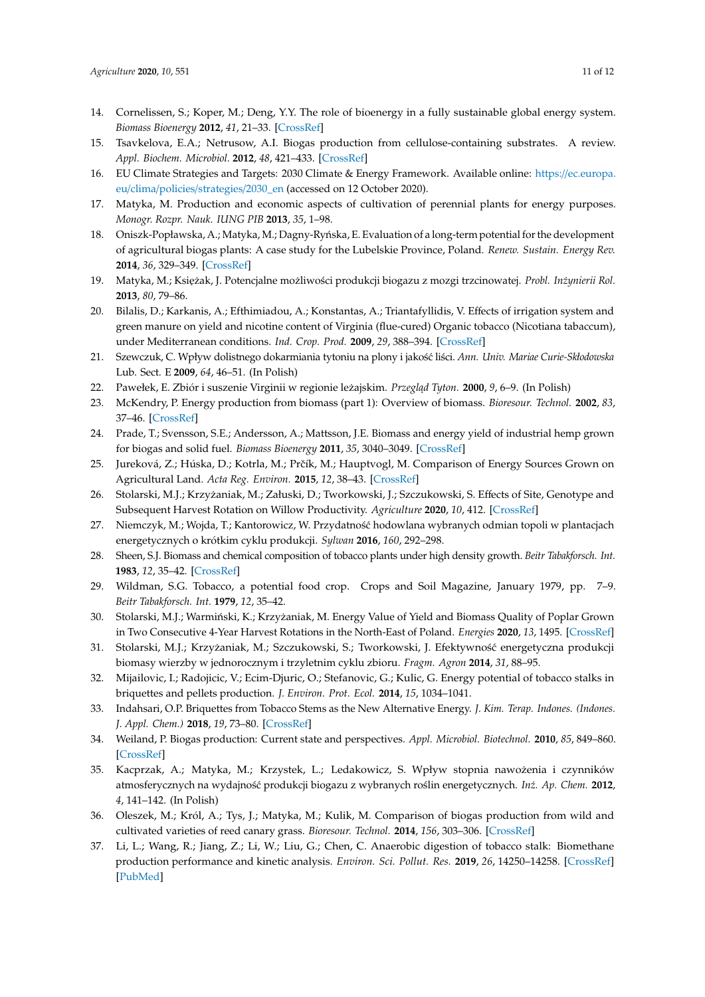- <span id="page-10-0"></span>14. Cornelissen, S.; Koper, M.; Deng, Y.Y. The role of bioenergy in a fully sustainable global energy system. *Biomass Bioenergy* **2012**, *41*, 21–33. [\[CrossRef\]](http://dx.doi.org/10.1016/j.biombioe.2011.12.049)
- <span id="page-10-1"></span>15. Tsavkelova, E.A.; Netrusow, A.I. Biogas production from cellulose-containing substrates. A review. *Appl. Biochem. Microbiol.* **2012**, *48*, 421–433. [\[CrossRef\]](http://dx.doi.org/10.1134/S0003683812050134)
- <span id="page-10-2"></span>16. EU Climate Strategies and Targets: 2030 Climate & Energy Framework. Available online: https://[ec.europa.](https://ec.europa.eu/clima/policies/strategies/2030_en) eu/clima/policies/[strategies](https://ec.europa.eu/clima/policies/strategies/2030_en)/2030\_en (accessed on 12 October 2020).
- <span id="page-10-3"></span>17. Matyka, M. Production and economic aspects of cultivation of perennial plants for energy purposes. *Monogr. Rozpr. Nauk. IUNG PIB* **2013**, *35*, 1–98.
- <span id="page-10-4"></span>18. Oniszk-Popławska, A.; Matyka, M.; Dagny-Ryńska, E. Evaluation of a long-term potential for the development of agricultural biogas plants: A case study for the Lubelskie Province, Poland. *Renew. Sustain. Energy Rev.* **2014**, *36*, 329–349. [\[CrossRef\]](http://dx.doi.org/10.1016/j.rser.2014.04.010)
- <span id="page-10-5"></span>19. Matyka, M.; Księżak, J. Potencjalne możliwości produkcji biogazu z mozgi trzcinowatej. Probl. Inżynierii Rol. **2013**, *80*, 79–86.
- <span id="page-10-6"></span>20. Bilalis, D.; Karkanis, A.; Efthimiadou, A.; Konstantas, A.; Triantafyllidis, V. Effects of irrigation system and green manure on yield and nicotine content of Virginia (flue-cured) Organic tobacco (Nicotiana tabaccum), under Mediterranean conditions. *Ind. Crop. Prod.* **2009**, *29*, 388–394. [\[CrossRef\]](http://dx.doi.org/10.1016/j.indcrop.2008.07.007)
- <span id="page-10-7"></span>21. Szewczuk, C. Wpływ dolistnego dokarmiania tytoniu na plony i jakość liści. *Ann. Univ. Mariae Curie-Skłodowska* Lub. Sect. E **2009**, *64*, 46–51. (In Polish)
- <span id="page-10-9"></span><span id="page-10-8"></span>22. Pawełek, E. Zbiór i suszenie Virginii w regionie leżajskim. Przegląd Tyton. 2000, 9, 6–9. (In Polish)
- 23. McKendry, P. Energy production from biomass (part 1): Overview of biomass. *Bioresour. Technol.* **2002**, *83*, 37–46. [\[CrossRef\]](http://dx.doi.org/10.1016/S0960-8524(01)00118-3)
- <span id="page-10-10"></span>24. Prade, T.; Svensson, S.E.; Andersson, A.; Mattsson, J.E. Biomass and energy yield of industrial hemp grown for biogas and solid fuel. *Biomass Bioenergy* **2011**, *35*, 3040–3049. [\[CrossRef\]](http://dx.doi.org/10.1016/j.biombioe.2011.04.006)
- <span id="page-10-11"></span>25. Jureková, Z.; Húska, D.; Kotrla, M.; Prčík, M.; Hauptvogl, M. Comparison of Energy Sources Grown on Agricultural Land. *Acta Reg. Environ.* **2015**, *12*, 38–43. [\[CrossRef\]](http://dx.doi.org/10.1515/aree-2015-0008)
- <span id="page-10-12"></span>26. Stolarski, M.J.; Krzyżaniak, M.; Załuski, D.; Tworkowski, J.; Szczukowski, S. Effects of Site, Genotype and Subsequent Harvest Rotation on Willow Productivity. *Agriculture* **2020**, *10*, 412. [\[CrossRef\]](http://dx.doi.org/10.3390/agriculture10090412)
- <span id="page-10-13"></span>27. Niemczyk, M.; Wojda, T.; Kantorowicz, W. Przydatność hodowlana wybranych odmian topoli w plantacjach energetycznych o krótkim cyklu produkcji. *Sylwan* **2016**, *160*, 292–298.
- <span id="page-10-14"></span>28. Sheen, S.J. Biomass and chemical composition of tobacco plants under high density growth. *Beitr Tabakforsch. Int.* **1983**, *12*, 35–42. [\[CrossRef\]](http://dx.doi.org/10.2478/cttr-2013-0523)
- <span id="page-10-15"></span>29. Wildman, S.G. Tobacco, a potential food crop. Crops and Soil Magazine, January 1979, pp. 7–9. *Beitr Tabakforsch. Int.* **1979**, *12*, 35–42.
- <span id="page-10-16"></span>30. Stolarski, M.J.; Warmiński, K.; Krzyżaniak, M. Energy Value of Yield and Biomass Quality of Poplar Grown in Two Consecutive 4-Year Harvest Rotations in the North-East of Poland. *Energies* **2020**, *13*, 1495. [\[CrossRef\]](http://dx.doi.org/10.3390/en13061495)
- <span id="page-10-17"></span>31. Stolarski, M.J.; Krzyżaniak, M.; Szczukowski, S.; Tworkowski, J. Efektywność energetyczna produkcji biomasy wierzby w jednorocznym i trzyletnim cyklu zbioru. *Fragm. Agron* **2014**, *31*, 88–95.
- <span id="page-10-18"></span>32. Mijailovic, I.; Radojicic, V.; Ecim-Djuric, O.; Stefanovic, G.; Kulic, G. Energy potential of tobacco stalks in briquettes and pellets production. *J. Environ. Prot. Ecol.* **2014**, *15*, 1034–1041.
- <span id="page-10-19"></span>33. Indahsari, O.P. Briquettes from Tobacco Stems as the New Alternative Energy. *J. Kim. Terap. Indones. (Indones. J. Appl. Chem.)* **2018**, *19*, 73–80. [\[CrossRef\]](http://dx.doi.org/10.14203/jkti.v19i2.359)
- <span id="page-10-20"></span>34. Weiland, P. Biogas production: Current state and perspectives. *Appl. Microbiol. Biotechnol.* **2010**, *85*, 849–860. [\[CrossRef\]](http://dx.doi.org/10.1007/s00253-009-2246-7)
- <span id="page-10-21"></span>35. Kacprzak, A.; Matyka, M.; Krzystek, L.; Ledakowicz, S. Wpływ stopnia nawożenia i czynników atmosferycznych na wydajność produkcji biogazu z wybranych roślin energetycznych. *Inż. Ap. Chem.* 2012, *4*, 141–142. (In Polish)
- <span id="page-10-22"></span>36. Oleszek, M.; Król, A.; Tys, J.; Matyka, M.; Kulik, M. Comparison of biogas production from wild and cultivated varieties of reed canary grass. *Bioresour. Technol.* **2014**, *156*, 303–306. [\[CrossRef\]](http://dx.doi.org/10.1016/j.biortech.2014.01.055)
- <span id="page-10-23"></span>37. Li, L.; Wang, R.; Jiang, Z.; Li, W.; Liu, G.; Chen, C. Anaerobic digestion of tobacco stalk: Biomethane production performance and kinetic analysis. *Environ. Sci. Pollut. Res.* **2019**, *26*, 14250–14258. [\[CrossRef\]](http://dx.doi.org/10.1007/s11356-019-04677-2) [\[PubMed\]](http://www.ncbi.nlm.nih.gov/pubmed/30864037)